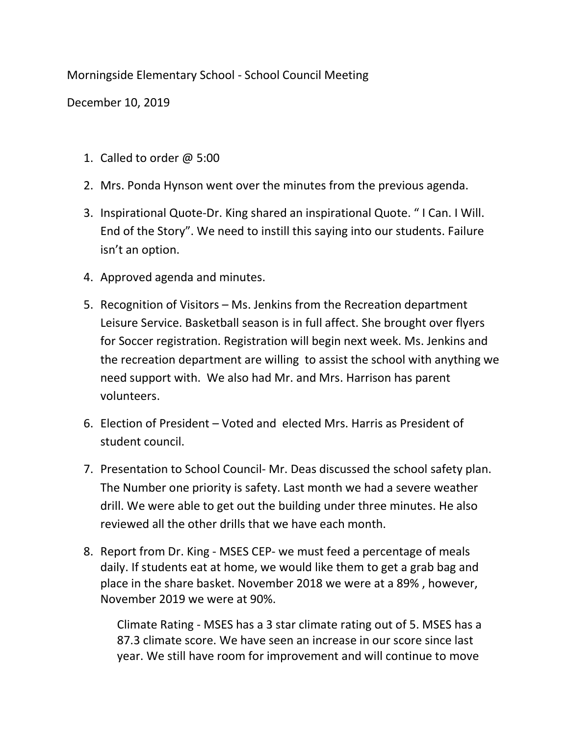Morningside Elementary School - School Council Meeting

December 10, 2019

- 1. Called to order @ 5:00
- 2. Mrs. Ponda Hynson went over the minutes from the previous agenda.
- 3. Inspirational Quote-Dr. King shared an inspirational Quote. " I Can. I Will. End of the Story". We need to instill this saying into our students. Failure isn't an option.
- 4. Approved agenda and minutes.
- 5. Recognition of Visitors Ms. Jenkins from the Recreation department Leisure Service. Basketball season is in full affect. She brought over flyers for Soccer registration. Registration will begin next week. Ms. Jenkins and the recreation department are willing to assist the school with anything we need support with. We also had Mr. and Mrs. Harrison has parent volunteers.
- 6. Election of President Voted and elected Mrs. Harris as President of student council.
- 7. Presentation to School Council- Mr. Deas discussed the school safety plan. The Number one priority is safety. Last month we had a severe weather drill. We were able to get out the building under three minutes. He also reviewed all the other drills that we have each month.
- 8. Report from Dr. King MSES CEP- we must feed a percentage of meals daily. If students eat at home, we would like them to get a grab bag and place in the share basket. November 2018 we were at a 89% , however, November 2019 we were at 90%.

Climate Rating - MSES has a 3 star climate rating out of 5. MSES has a 87.3 climate score. We have seen an increase in our score since last year. We still have room for improvement and will continue to move